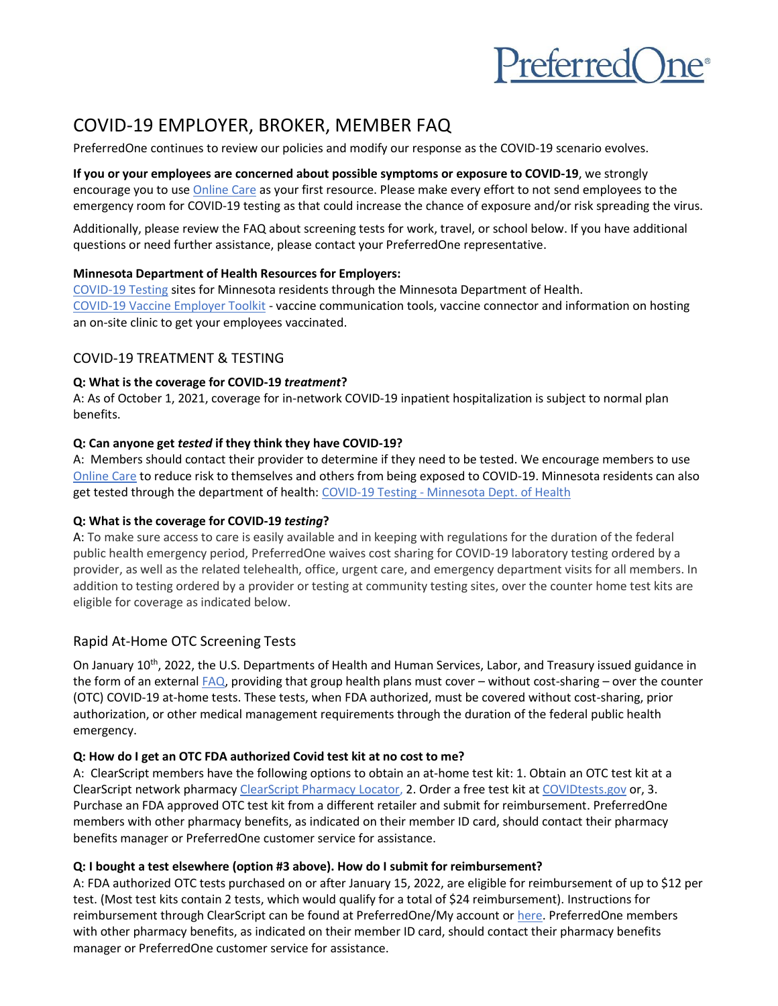

# COVID-19 EMPLOYER, BROKER, MEMBER FAQ

PreferredOne continues to review our policies and modify our response as the COVID-19 scenario evolves.

**If you or your employees are concerned about possible symptoms or exposure to COVID-19**, we strongly encourage you to use [Online Care](https://www.preferredone.com/getting-care/online-care/) as your first resource. Please make every effort to not send employees to the emergency room for COVID-19 testing as that could increase the chance of exposure and/or risk spreading the virus.

Additionally, please review the FAQ about screening tests for work, travel, or school below. If you have additional questions or need further assistance, please contact your PreferredOne representative.

#### **Minnesota Department of Health Resources for Employers:**

[COVID-19 Testing](https://www.health.state.mn.us/diseases/coronavirus/testsites/index.html) sites for Minnesota residents through the Minnesota Department of Health. [COVID-19 Vaccine Employer Toolkit](https://mn.gov/covid19/vaccine/employer-toolkit/index.jsp) - vaccine communication tools, vaccine connector and information on hosting an on-site clinic to get your employees vaccinated.

## COVID-19 TREATMENT & TESTING

#### **Q: What is the coverage for COVID-19** *treatment***?**

A: As of October 1, 2021, coverage for in-network COVID-19 inpatient hospitalization is subject to normal plan benefits.

#### **Q: Can anyone get** *tested* **if they think they have COVID-19?**

A: Members should contact their provider to determine if they need to be tested. We encourage members to use [Online Care](https://www.preferredone.com/getting-care/online-care/) to reduce risk to themselves and others from being exposed to COVID-19. Minnesota residents can also get tested through the department of health: COVID-19 Testing - [Minnesota Dept. of Health](https://www.health.state.mn.us/diseases/coronavirus/testsites/index.html)

## **Q: What is the coverage for COVID-19** *testing***?**

A: To make sure access to care is easily available and in keeping with regulations for the duration of the federal public health emergency period, PreferredOne waives cost sharing for COVID-19 laboratory testing ordered by a provider, as well as the related telehealth, office, urgent care, and emergency department visits for all members. In addition to testing ordered by a provider or testing at community testing sites, over the counter home test kits are eligible for coverage as indicated below.

## Rapid At-Home OTC Screening Tests

On January 10<sup>th</sup>, 2022, the U.S. Departments of Health and Human Services, Labor, and Treasury issued guidance in the form of an external  $FAQ$ , providing that group health plans must cover – without cost-sharing – over the counter (OTC) COVID-19 at-home tests. These tests, when FDA authorized, must be covered without cost-sharing, prior authorization, or other medical management requirements through the duration of the federal public health emergency.

## **Q: How do I get an OTC FDA authorized Covid test kit at no cost to me?**

A: ClearScript members have the following options to obtain an at-home test kit: 1. Obtain an OTC test kit at a ClearScript network pharmacy [ClearScript Pharmacy Locator,](https://www.argushealth.com/enhanced/memberaccess-jsfweb/2.0/components/pharmacySearch/index.jsf?argus_rso_token=ACoAH%2Bl8DHx2bIciI0UubJbUZjUF5lP6PpR%2F0KBZ0lceA682%2ByBK%2BdgG5fLNh31NoM0bGrmddnnu%2FTmhTpd9NtrX7mo7YH6uwq3XhKi6OJ7%2B9xp0f%2FMiZr03tjtg2Bx%2Fr5iUCSNVxzE%2BCeW7OomnM%2B52bzmDKWl84Mb56TfECeYsTHH9hTDtxoq6267ZbSvZVxzBt4UyOTAOQjqqQ1GMAZKzoa9d) 2. Order a free test kit at [COVIDtests.gov](https://www.covidtests.gov/) or, 3. Purchase an FDA approved OTC test kit from a different retailer and submit for reimbursement. PreferredOne members with other pharmacy benefits, as indicated on their member ID card, should contact their pharmacy benefits manager or PreferredOne customer service for assistance.

## **Q: I bought a test elsewhere (option #3 above). How do I submit for reimbursement?**

A: FDA authorized OTC tests purchased on or after January 15, 2022, are eligible for reimbursement of up to \$12 per test. (Most test kits contain 2 tests, which would qualify for a total of \$24 reimbursement). Instructions for reimbursement through ClearScript can be found at PreferredOne/My account or [here.](https://www.preferredone.com/shared/pharmacy/PreferredOne%20Paper%20Claim%20Form.pdf) PreferredOne members with other pharmacy benefits, as indicated on their member ID card, should contact their pharmacy benefits manager or PreferredOne customer service for assistance.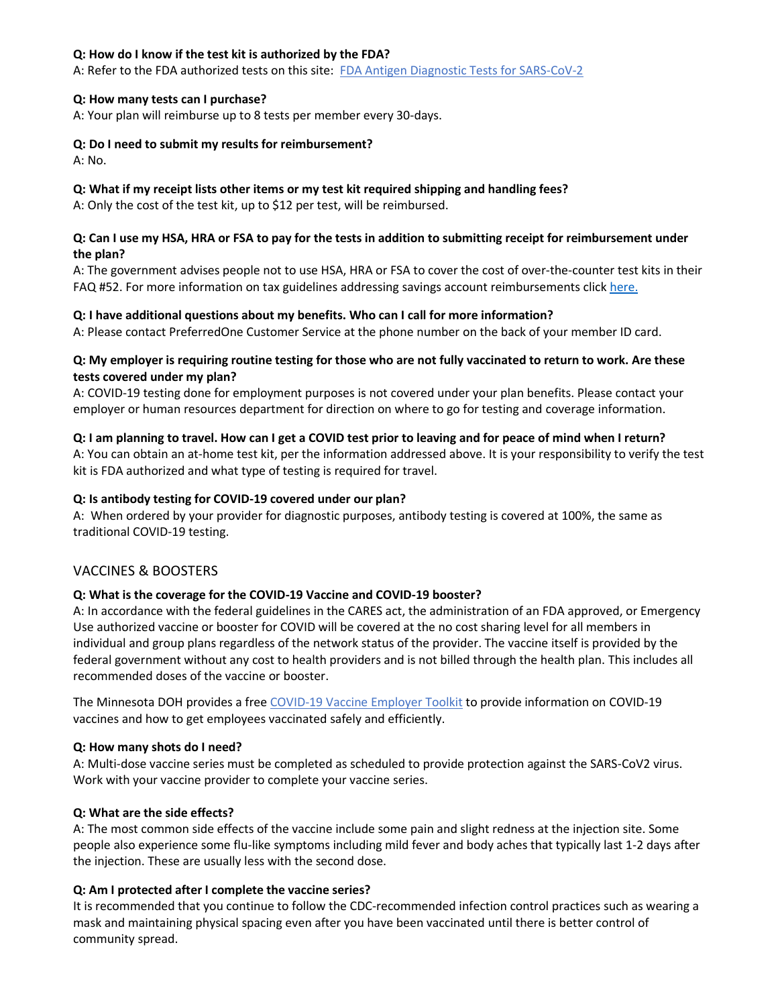#### **Q: How do I know if the test kit is authorized by the FDA?**

A: Refer to the FDA authorized tests on this site: [FDA Antigen Diagnostic Tests for SARS-CoV-2](https://www.fda.gov/medical-devices/coronavirus-disease-2019-covid-19-emergency-use-authorizations-medical-devices/in-vitro-diagnostics-euas-antigen-diagnostic-tests-sars-cov-2)

#### **Q: How many tests can I purchase?**

A: Your plan will reimburse up to 8 tests per member every 30-days.

#### **Q: Do I need to submit my results for reimbursement?**

A: No.

# **Q: What if my receipt lists other items or my test kit required shipping and handling fees?**

A: Only the cost of the test kit, up to \$12 per test, will be reimbursed.

# **Q: Can I use my HSA, HRA or FSA to pay for the tests in addition to submitting receipt for reimbursement under the plan?**

A: The government advises people not to use HSA, HRA or FSA to cover the cost of over-the-counter test kits in their FAQ #52. For more information on tax guidelines addressing savings account reimbursements click [here.](https://www.dol.gov/agencies/ebsa/about-ebsa/our-activities/resource-center/faqs/aca-part-52)

## **Q: I have additional questions about my benefits. Who can I call for more information?**

A: Please contact PreferredOne Customer Service at the phone number on the back of your member ID card.

#### **Q: My employer is requiring routine testing for those who are not fully vaccinated to return to work. Are these tests covered under my plan?**

A: COVID-19 testing done for employment purposes is not covered under your plan benefits. Please contact your employer or human resources department for direction on where to go for testing and coverage information.

#### **Q: I am planning to travel. How can I get a COVID test prior to leaving and for peace of mind when I return?**

A: You can obtain an at-home test kit, per the information addressed above. It is your responsibility to verify the test kit is FDA authorized and what type of testing is required for travel.

#### **Q: Is antibody testing for COVID-19 covered under our plan?**

A: When ordered by your provider for diagnostic purposes, antibody testing is covered at 100%, the same as traditional COVID-19 testing.

## VACCINES & BOOSTERS

## **Q: What is the coverage for the COVID-19 Vaccine and COVID-19 booster?**

A: In accordance with the federal guidelines in the CARES act, the administration of an FDA approved, or Emergency Use authorized vaccine or booster for COVID will be covered at the no cost sharing level for all members in individual and group plans regardless of the network status of the provider. The vaccine itself is provided by the federal government without any cost to health providers and is not billed through the health plan. This includes all recommended doses of the vaccine or booster.

The Minnesota DOH provides a fre[e COVID-19 Vaccine Employer Toolkit](https://mn.gov/covid19/vaccine/employer-toolkit/index.jsp) to provide information on COVID-19 vaccines and how to get employees vaccinated safely and efficiently.

## **Q: How many shots do I need?**

A: Multi-dose vaccine series must be completed as scheduled to provide protection against the SARS-CoV2 virus. Work with your vaccine provider to complete your vaccine series.

## **Q: What are the side effects?**

A: The most common side effects of the vaccine include some pain and slight redness at the injection site. Some people also experience some flu-like symptoms including mild fever and body aches that typically last 1-2 days after the injection. These are usually less with the second dose.

## **Q: Am I protected after I complete the vaccine series?**

It is recommended that you continue to follow the CDC-recommended infection control practices such as wearing a mask and maintaining physical spacing even after you have been vaccinated until there is better control of community spread.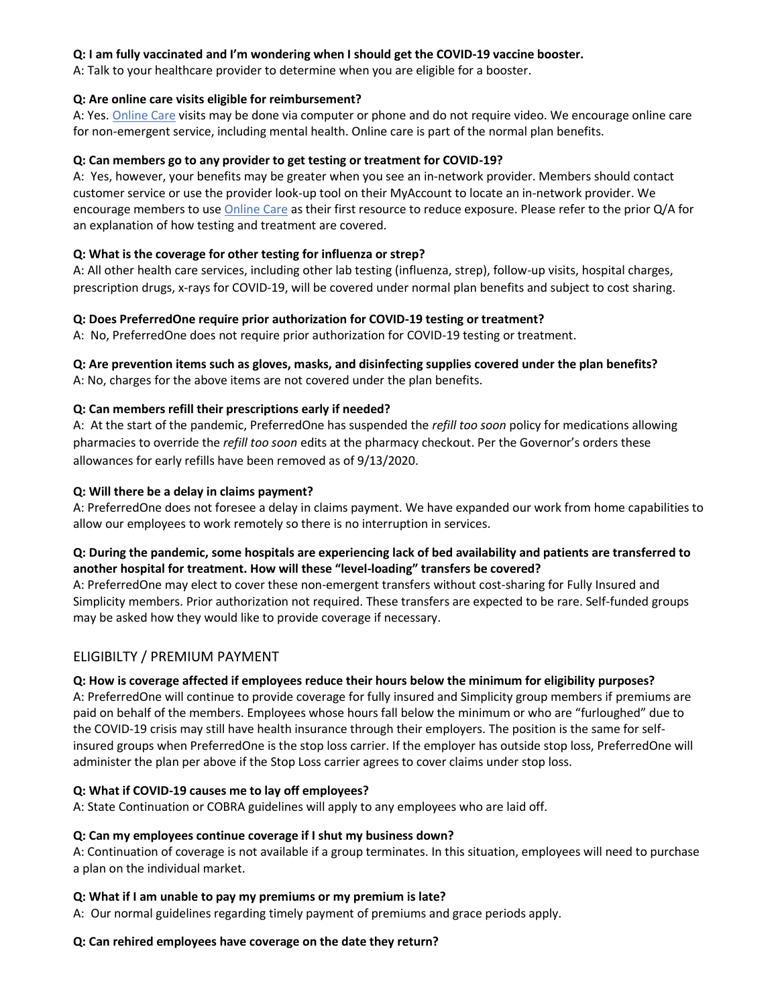#### **Q: I am fully vaccinated and I'm wondering when I should get the COVID-19 vaccine booster.**

A: Talk to your healthcare provider to determine when you are eligible for a booster.

#### **Q: Are online care visits eligible for reimbursement?**

A: Yes[. Online Care](https://www.preferredone.com/getting-care/online-care/) visits may be done via computer or phone and do not require video. We encourage online care for non-emergent service, including mental health. Online care is part of the normal plan benefits.

#### **Q: Can members go to any provider to get testing or treatment for COVID-19?**

A: Yes, however, your benefits may be greater when you see an in-network provider. Members should contact customer service or use the provider look-up tool on their MyAccount to locate an in-network provider. We encourage members to us[e Online Care](https://www.preferredone.com/getting-care/online-care/) as their first resource to reduce exposure. Please refer to the prior Q/A for an explanation of how testing and treatment are covered.

#### **Q: What is the coverage for other testing for influenza or strep?**

A: All other health care services, including other lab testing (influenza, strep), follow-up visits, hospital charges, prescription drugs, x-rays for COVID-19, will be covered under normal plan benefits and subject to cost sharing.

#### **Q: Does PreferredOne require prior authorization for COVID-19 testing or treatment?**

A: No, PreferredOne does not require prior authorization for COVID-19 testing or treatment.

# **Q: Are prevention items such as gloves, masks, and disinfecting supplies covered under the plan benefits?**

A: No, charges for the above items are not covered under the plan benefits.

#### **Q: Can members refill their prescriptions early if needed?**

A: At the start of the pandemic, PreferredOne has suspended the *refill too soon* policy for medications allowing pharmacies to override the *refill too soon* edits at the pharmacy checkout. Per the Governor's orders these allowances for early refills have been removed as of 9/13/2020.

#### **Q: Will there be a delay in claims payment?**

A: PreferredOne does not foresee a delay in claims payment. We have expanded our work from home capabilities to allow our employees to work remotely so there is no interruption in services.

## **Q: During the pandemic, some hospitals are experiencing lack of bed availability and patients are transferred to another hospital for treatment. How will these "level-loading" transfers be covered?**

A: PreferredOne may elect to cover these non-emergent transfers without cost-sharing for Fully Insured and Simplicity members. Prior authorization not required. These transfers are expected to be rare. Self-funded groups may be asked how they would like to provide coverage if necessary.

## ELIGIBILTY / PREMIUM PAYMENT

## **Q: How is coverage affected if employees reduce their hours below the minimum for eligibility purposes?**

A: PreferredOne will continue to provide coverage for fully insured and Simplicity group members if premiums are paid on behalf of the members. Employees whose hours fall below the minimum or who are "furloughed" due to the COVID-19 crisis may still have health insurance through their employers. The position is the same for selfinsured groups when PreferredOne is the stop loss carrier. If the employer has outside stop loss, PreferredOne will administer the plan per above if the Stop Loss carrier agrees to cover claims under stop loss.

## **Q: What if COVID-19 causes me to lay off employees?**

A: State Continuation or COBRA guidelines will apply to any employees who are laid off.

#### **Q: Can my employees continue coverage if I shut my business down?**

A: Continuation of coverage is not available if a group terminates. In this situation, employees will need to purchase a plan on the individual market.

#### **Q: What if I am unable to pay my premiums or my premium is late?**

A: Our normal guidelines regarding timely payment of premiums and grace periods apply.

#### **Q: Can rehired employees have coverage on the date they return?**